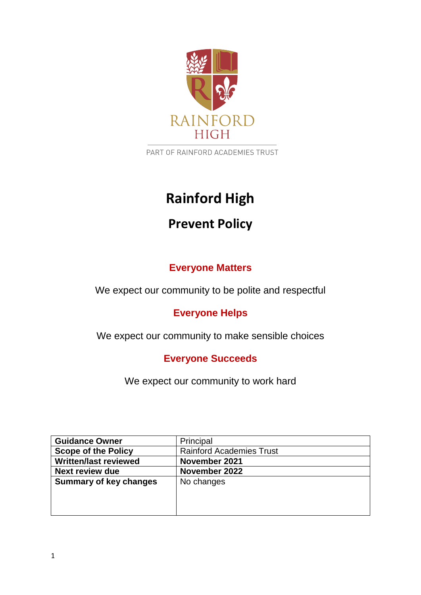

PART OF RAINFORD ACADEMIES TRUST

# **Rainford High**

## **Prevent Policy**

## **Everyone Matters**

We expect our community to be polite and respectful

## **Everyone Helps**

We expect our community to make sensible choices

## **Everyone Succeeds**

We expect our community to work hard

| <b>Guidance Owner</b>         | Principal                       |
|-------------------------------|---------------------------------|
| <b>Scope of the Policy</b>    | <b>Rainford Academies Trust</b> |
| <b>Written/last reviewed</b>  | November 2021                   |
| <b>Next review due</b>        | November 2022                   |
| <b>Summary of key changes</b> | No changes                      |
|                               |                                 |
|                               |                                 |
|                               |                                 |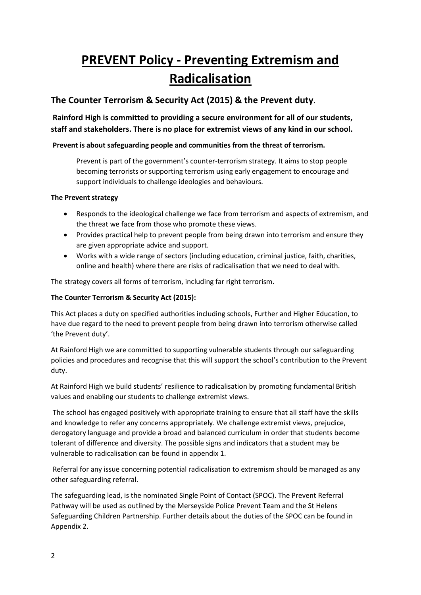## **PREVENT Policy - Preventing Extremism and Radicalisation**

#### **The Counter Terrorism & Security Act (2015) & the Prevent duty.**

**Rainford High is committed to providing a secure environment for all of our students, staff and stakeholders. There is no place for extremist views of any kind in our school.** 

#### **Prevent is about safeguarding people and communities from the threat of terrorism.**

Prevent is part of the government's counter-terrorism strategy. It aims to stop people becoming terrorists or supporting terrorism using early engagement to encourage and support individuals to challenge ideologies and behaviours.

#### **The Prevent strategy**

- Responds to the ideological challenge we face from terrorism and aspects of extremism, and the threat we face from those who promote these views.
- Provides practical help to prevent people from being drawn into terrorism and ensure they are given appropriate advice and support.
- Works with a wide range of sectors (including education, criminal justice, faith, charities, online and health) where there are risks of radicalisation that we need to deal with.

The strategy covers all forms of terrorism, including far right terrorism.

#### **The Counter Terrorism & Security Act (2015):**

This Act places a duty on specified authorities including schools, Further and Higher Education, to have due regard to the need to prevent people from being drawn into terrorism otherwise called 'the Prevent duty'.

At Rainford High we are committed to supporting vulnerable students through our safeguarding policies and procedures and recognise that this will support the school's contribution to the Prevent duty.

At Rainford High we build students' resilience to radicalisation by promoting fundamental British values and enabling our students to challenge extremist views.

The school has engaged positively with appropriate training to ensure that all staff have the skills and knowledge to refer any concerns appropriately. We challenge extremist views, prejudice, derogatory language and provide a broad and balanced curriculum in order that students become tolerant of difference and diversity. The possible signs and indicators that a student may be vulnerable to radicalisation can be found in appendix 1.

Referral for any issue concerning potential radicalisation to extremism should be managed as any other safeguarding referral.

The safeguarding lead, is the nominated Single Point of Contact (SPOC). The Prevent Referral Pathway will be used as outlined by the Merseyside Police Prevent Team and the St Helens Safeguarding Children Partnership. Further details about the duties of the SPOC can be found in Appendix 2.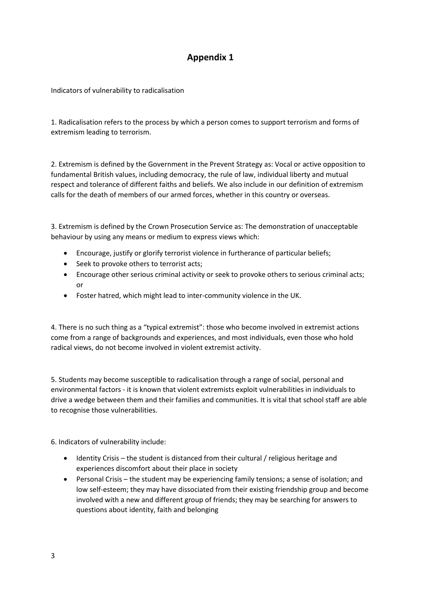### **Appendix 1**

Indicators of vulnerability to radicalisation

1. Radicalisation refers to the process by which a person comes to support terrorism and forms of extremism leading to terrorism.

2. Extremism is defined by the Government in the Prevent Strategy as: Vocal or active opposition to fundamental British values, including democracy, the rule of law, individual liberty and mutual respect and tolerance of different faiths and beliefs. We also include in our definition of extremism calls for the death of members of our armed forces, whether in this country or overseas.

3. Extremism is defined by the Crown Prosecution Service as: The demonstration of unacceptable behaviour by using any means or medium to express views which:

- Encourage, justify or glorify terrorist violence in furtherance of particular beliefs;
- Seek to provoke others to terrorist acts;
- Encourage other serious criminal activity or seek to provoke others to serious criminal acts; or
- Foster hatred, which might lead to inter-community violence in the UK.

4. There is no such thing as a "typical extremist": those who become involved in extremist actions come from a range of backgrounds and experiences, and most individuals, even those who hold radical views, do not become involved in violent extremist activity.

5. Students may become susceptible to radicalisation through a range of social, personal and environmental factors - it is known that violent extremists exploit vulnerabilities in individuals to drive a wedge between them and their families and communities. It is vital that school staff are able to recognise those vulnerabilities.

6. Indicators of vulnerability include:

- Identity Crisis the student is distanced from their cultural / religious heritage and experiences discomfort about their place in society
- Personal Crisis the student may be experiencing family tensions; a sense of isolation; and low self-esteem; they may have dissociated from their existing friendship group and become involved with a new and different group of friends; they may be searching for answers to questions about identity, faith and belonging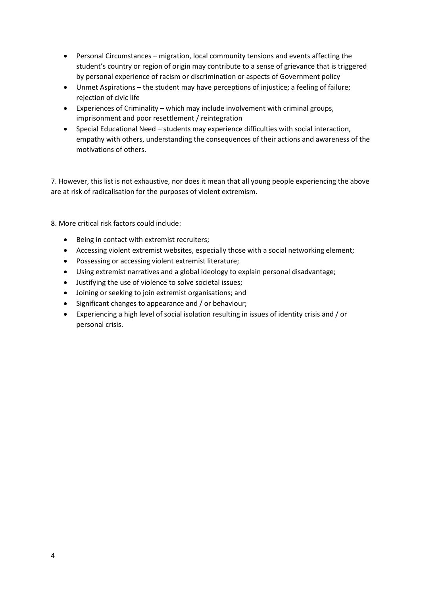- Personal Circumstances migration, local community tensions and events affecting the student's country or region of origin may contribute to a sense of grievance that is triggered by personal experience of racism or discrimination or aspects of Government policy
- Unmet Aspirations the student may have perceptions of injustice; a feeling of failure; rejection of civic life
- Experiences of Criminality which may include involvement with criminal groups, imprisonment and poor resettlement / reintegration
- Special Educational Need students may experience difficulties with social interaction, empathy with others, understanding the consequences of their actions and awareness of the motivations of others.

7. However, this list is not exhaustive, nor does it mean that all young people experiencing the above are at risk of radicalisation for the purposes of violent extremism.

8. More critical risk factors could include:

- Being in contact with extremist recruiters;
- Accessing violent extremist websites, especially those with a social networking element;
- Possessing or accessing violent extremist literature;
- Using extremist narratives and a global ideology to explain personal disadvantage;
- Justifying the use of violence to solve societal issues;
- Joining or seeking to join extremist organisations; and
- Significant changes to appearance and / or behaviour;
- Experiencing a high level of social isolation resulting in issues of identity crisis and / or personal crisis.